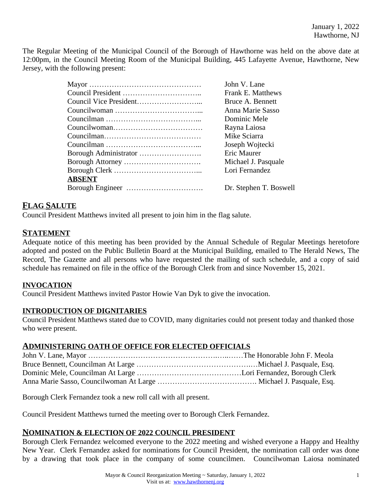The Regular Meeting of the Municipal Council of the Borough of Hawthorne was held on the above date at 12:00pm, in the Council Meeting Room of the Municipal Building, 445 Lafayette Avenue, Hawthorne, New Jersey, with the following present:

|               | John V. Lane           |
|---------------|------------------------|
|               | Frank E. Matthews      |
|               | Bruce A. Bennett       |
|               | Anna Marie Sasso       |
|               | Dominic Mele           |
|               | Rayna Laiosa           |
|               | Mike Sciarra           |
|               | Joseph Wojtecki        |
|               | Eric Maurer            |
|               | Michael J. Pasquale    |
|               | Lori Fernandez         |
| <b>ABSENT</b> |                        |
|               | Dr. Stephen T. Boswell |
|               |                        |

### **FLAG SALUTE**

Council President Matthews invited all present to join him in the flag salute.

### **STATEMENT**

Adequate notice of this meeting has been provided by the Annual Schedule of Regular Meetings heretofore adopted and posted on the Public Bulletin Board at the Municipal Building, emailed to The Herald News, The Record, The Gazette and all persons who have requested the mailing of such schedule, and a copy of said schedule has remained on file in the office of the Borough Clerk from and since November 15, 2021.

#### **INVOCATION**

Council President Matthews invited Pastor Howie Van Dyk to give the invocation.

#### **INTRODUCTION OF DIGNITARIES**

Council President Matthews stated due to COVID, many dignitaries could not present today and thanked those who were present.

### **ADMINISTERING OATH OF OFFICE FOR ELECTED OFFICIALS**

Borough Clerk Fernandez took a new roll call with all present.

Council President Matthews turned the meeting over to Borough Clerk Fernandez.

#### **NOMINATION & ELECTION OF 2022 COUNCIL PRESIDENT**

Borough Clerk Fernandez welcomed everyone to the 2022 meeting and wished everyone a Happy and Healthy New Year. Clerk Fernandez asked for nominations for Council President, the nomination call order was done by a drawing that took place in the company of some councilmen. Councilwoman Laiosa nominated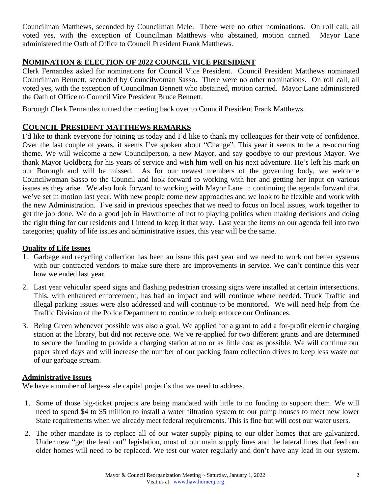Councilman Matthews, seconded by Councilman Mele. There were no other nominations. On roll call, all voted yes, with the exception of Councilman Matthews who abstained, motion carried. Mayor Lane administered the Oath of Office to Council President Frank Matthews.

# **NOMINATION & ELECTION OF 2022 COUNCIL VICE PRESIDENT**

Clerk Fernandez asked for nominations for Council Vice President. Council President Matthews nominated Councilman Bennett, seconded by Councilwoman Sasso. There were no other nominations. On roll call, all voted yes, with the exception of Councilman Bennett who abstained, motion carried. Mayor Lane administered the Oath of Office to Council Vice President Bruce Bennett.

Borough Clerk Fernandez turned the meeting back over to Council President Frank Matthews.

## **COUNCIL PRESIDENT MATTHEWS REMARKS**

I'd like to thank everyone for joining us today and I'd like to thank my colleagues for their vote of confidence. Over the last couple of years, it seems I've spoken about "Change". This year it seems to be a re-occurring theme. We will welcome a new Councilperson, a new Mayor, and say goodbye to our previous Mayor. We thank Mayor Goldberg for his years of service and wish him well on his next adventure. He's left his mark on our Borough and will be missed. As for our newest members of the governing body, we welcome Councilwoman Sasso to the Council and look forward to working with her and getting her input on various issues as they arise. We also look forward to working with Mayor Lane in continuing the agenda forward that we've set in motion last year. With new people come new approaches and we look to be flexible and work with the new Administration. I've said in previous speeches that we need to focus on local issues, work together to get the job done. We do a good job in Hawthorne of not to playing politics when making decisions and doing the right thing for our residents and I intend to keep it that way. Last year the items on our agenda fell into two categories; quality of life issues and administrative issues, this year will be the same.

### **Quality of Life Issues**

- 1. Garbage and recycling collection has been an issue this past year and we need to work out better systems with our contracted vendors to make sure there are improvements in service. We can't continue this year how we ended last year.
- 2. Last year vehicular speed signs and flashing pedestrian crossing signs were installed at certain intersections. This, with enhanced enforcement, has had an impact and will continue where needed. Truck Traffic and illegal parking issues were also addressed and will continue to be monitored. We will need help from the Traffic Division of the Police Department to continue to help enforce our Ordinances.
- 3. Being Green whenever possible was also a goal. We applied for a grant to add a for-profit electric charging station at the library, but did not receive one. We've re-applied for two different grants and are determined to secure the funding to provide a charging station at no or as little cost as possible. We will continue our paper shred days and will increase the number of our packing foam collection drives to keep less waste out of our garbage stream.

## **Administrative Issues**

We have a number of large-scale capital project's that we need to address.

- 1. Some of those big-ticket projects are being mandated with little to no funding to support them. We will need to spend \$4 to \$5 million to install a water filtration system to our pump houses to meet new lower State requirements when we already meet federal requirements. This is fine but will cost our water users.
- 2. The other mandate is to replace all of our water supply piping to our older homes that are galvanized. Under new "get the lead out" legislation, most of our main supply lines and the lateral lines that feed our older homes will need to be replaced. We test our water regularly and don't have any lead in our system.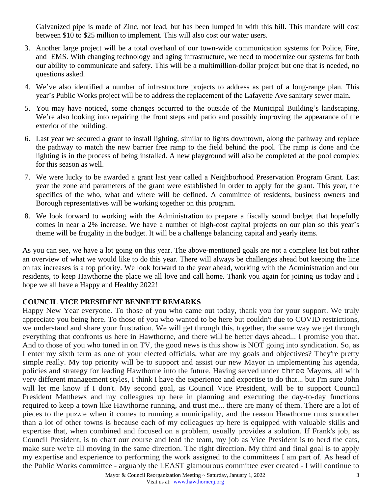Galvanized pipe is made of Zinc, not lead, but has been lumped in with this bill. This mandate will cost between \$10 to \$25 million to implement. This will also cost our water users.

- 3. Another large project will be a total overhaul of our town-wide communication systems for Police, Fire, and EMS. With changing technology and aging infrastructure, we need to modernize our systems for both our ability to communicate and safety. This will be a multimillion-dollar project but one that is needed, no questions asked.
- 4. We've also identified a number of infrastructure projects to address as part of a long-range plan. This year's Public Works project will be to address the replacement of the Lafayette Ave sanitary sewer main.
- 5. You may have noticed, some changes occurred to the outside of the Municipal Building's landscaping. We're also looking into repairing the front steps and patio and possibly improving the appearance of the exterior of the building.
- 6. Last year we secured a grant to install lighting, similar to lights downtown, along the pathway and replace the pathway to match the new barrier free ramp to the field behind the pool. The ramp is done and the lighting is in the process of being installed. A new playground will also be completed at the pool complex for this season as well.
- 7. We were lucky to be awarded a grant last year called a Neighborhood Preservation Program Grant. Last year the zone and parameters of the grant were established in order to apply for the grant. This year, the specifics of the who, what and where will be defined. A committee of residents, business owners and Borough representatives will be working together on this program.
- 8. We look forward to working with the Administration to prepare a fiscally sound budget that hopefully comes in near a 2% increase. We have a number of high-cost capital projects on our plan so this year's theme will be frugality in the budget. It will be a challenge balancing capital and yearly items.

As you can see, we have a lot going on this year. The above-mentioned goals are not a complete list but rather an overview of what we would like to do this year. There will always be challenges ahead but keeping the line on tax increases is a top priority. We look forward to the year ahead, working with the Administration and our residents, to keep Hawthorne the place we all love and call home. Thank you again for joining us today and I hope we all have a Happy and Healthy 2022!

### **COUNCIL VICE PRESIDENT BENNETT REMARKS**

Happy New Year everyone. To those of you who came out today, thank you for your support. We truly appreciate you being here. To those of you who wanted to be here but couldn't due to COVID restrictions, we understand and share your frustration. We will get through this, together, the same way we get through everything that confronts us here in Hawthorne, and there will be better days ahead... I promise you that. And to those of you who tuned in on TV, the good news is this show is NOT going into syndication. So, as I enter my sixth term as one of your elected officials, what are my goals and objectives? They're pretty simple really. My top priority will be to support and assist our new Mayor in implementing his agenda, policies and strategy for leading Hawthorne into the future. Having served under three Mayors, all with very different management styles, I think I have the experience and expertise to do that... but I'm sure John will let me know if I don't. My second goal, as Council Vice President, will be to support Council President Matthews and my colleagues up here in planning and executing the day-to-day functions required to keep a town like Hawthorne running, and trust me... there are many of them. There are a lot of pieces to the puzzle when it comes to running a municipality, and the reason Hawthorne runs smoother than a lot of other towns is because each of my colleagues up here is equipped with valuable skills and expertise that, when combined and focused on a problem, usually provides a solution. If Frank's job, as Council President, is to chart our course and lead the team, my job as Vice President is to herd the cats, make sure we're all moving in the same direction. The right direction. My third and final goal is to apply my expertise and experience to performing the work assigned to the committees I am part of. As head of the Public Works committee - arguably the LEAST glamourous committee ever created - I will continue to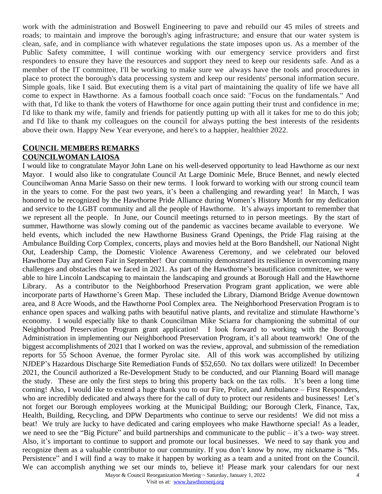work with the administration and Boswell Engineering to pave and rebuild our 45 miles of streets and roads; to maintain and improve the borough's aging infrastructure; and ensure that our water system is clean, safe, and in compliance with whatever regulations the state imposes upon us. As a member of the Public Safety committee, I will continue working with our emergency service providers and first responders to ensure they have the resources and support they need to keep our residents safe. And as a member of the IT committee, I'll be working to make sure we always have the tools and procedures in place to protect the borough's data processing system and keep our residents' personal information secure. Simple goals, like I said. But executing them is a vital part of maintaining the quality of life we have all come to expect in Hawthorne. As a famous football coach once said: "Focus on the fundamentals." And with that, I'd like to thank the voters of Hawthorne for once again putting their trust and confidence in me; I'd like to thank my wife, family and friends for patiently putting up with all it takes for me to do this job; and I'd like to thank my colleagues on the council for always putting the best interests of the residents above their own. Happy New Year everyone, and here's to a happier, healthier 2022.

#### **COUNCIL MEMBERS REMARKS COUNCILWOMAN LAIOSA**

Mayor & Council Reorganization Meeting ~ Saturday, January 1, 2022 4 I would like to congratulate Mayor John Lane on his well-deserved opportunity to lead Hawthorne as our next Mayor. I would also like to congratulate Council At Large Dominic Mele, Bruce Bennet, and newly elected Councilwoman Anna Marie Sasso on their new terms. I look forward to working with our strong council team in the years to come. For the past two years, it's been a challenging and rewarding year! In March, I was honored to be recognized by the Hawthorne Pride Alliance during Women's History Month for my dedication and service to the LGBT community and all the people of Hawthorne. It's always important to remember that we represent all the people. In June, our Council meetings returned to in person meetings. By the start of summer, Hawthorne was slowly coming out of the pandemic as vaccines became available to everyone. We held events, which included the new Hawthorne Business Grand Openings, the Pride Flag raising at the Ambulance Building Corp Complex, concerts, plays and movies held at the Boro Bandshell, our National Night Out, Leadership Camp, the Domestic Violence Awareness Ceremony, and we celebrated our beloved Hawthorne Day and Green Fair in September! Our community demonstrated its resilience in overcoming many challenges and obstacles that we faced in 2021. As part of the Hawthorne's beautification committee, we were able to hire Lincoln Landscaping to maintain the landscaping and grounds at Borough Hall and the Hawthorne Library. As a contributor to the Neighborhood Preservation Program grant application, we were able incorporate parts of Hawthorne's Green Map. These included the Library, Diamond Bridge Avenue downtown area, and 8 Acre Woods, and the Hawthorne Pool Complex area. The Neighborhood Preservation Program is to enhance open spaces and walking paths with beautiful native plants, and revitalize and stimulate Hawthorne's economy. I would especially like to thank Councilman Mike Sciarra for championing the submittal of our Neighborhood Preservation Program grant application! I look forward to working with the Borough Administration in implementing our Neighborhood Preservation Program, it's all about teamwork! One of the biggest accomplishments of 2021 that I worked on was the review, approval, and submission of the remediation reports for 55 Schoon Avenue, the former Pyrolac site. All of this work was accomplished by utilizing NJDEP's Hazardous Discharge Site Remediation Funds of \$52,650. No tax dollars were utilized! In December 2021, the Council authorized a Re-Development Study to be conducted, and our Planning Board will manage the study. These are only the first steps to bring this property back on the tax rolls. It's been a long time coming! Also, I would like to extend a huge thank you to our Fire, Police, and Ambulance – First Responders, who are incredibly dedicated and always there for the call of duty to protect our residents and businesses! Let's not forget our Borough employees working at the Municipal Building; our Borough Clerk, Finance, Tax, Health, Building, Recycling, and DPW Departments who continue to serve our residents! We did not miss a beat! We truly are lucky to have dedicated and caring employees who make Hawthorne special! As a leader, we need to see the "Big Picture" and build partnerships and communicate to the public – it's a two- way street. Also, it's important to continue to support and promote our local businesses. We need to say thank you and recognize them as a valuable contributor to our community. If you don't know by now, my nickname is "Ms. Persistence" and I will find a way to make it happen by working as a team and a united front on the Council. We can accomplish anything we set our minds to, believe it! Please mark your calendars for our next

Visit us at: [www.hawthornenj.org](http://www.hawthornenj.org)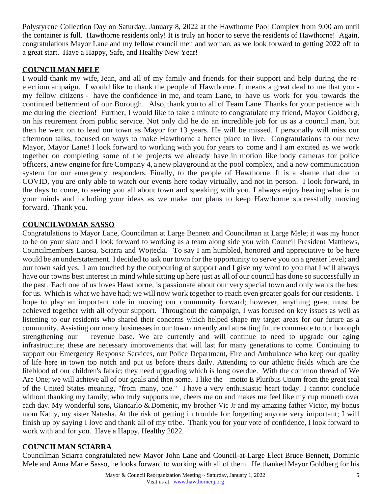Polystyrene Collection Day on Saturday, January 8, 2022 at the Hawthorne Pool Complex from 9:00 am until the container is full. Hawthorne residents only! It is truly an honor to serve the residents of Hawthorne! Again, congratulations Mayor Lane and my fellow council men and woman, as we look forward to getting 2022 off to a great start. Have a Happy, Safe, and Healthy New Year!

### **COUNCILMAN MELE**

I would thank my wife, Jean, and all of my family and friends for their support and help during the reelectioncampaign. I would like to thank the people of Hawthorne. It means a great deal to me that you my fellow citizens - have the confidence in me, and team Lane, to have us work for you towards the continued betterment of our Borough. Also, thank you to all of Team Lane. Thanks for your patience with me during the election! Further, I would like to take a minute to congratulate my friend, Mayor Goldberg, on his retirement from public service. Not only did he do an incredible job for us as a council man, but then he went on to lead our town as Mayor for 13 years. He will be missed. I personally will miss our afternoon talks, focused on ways to make Hawthorne a better place to live. Congratulations to our new Mayor, Mayor Lane! I look forward to working with you for years to come and I am excited as we work together on completing some of the projects we already have in motion like body cameras for police officers, anew engine for fireCompany 4, a new playground at the pool complex, and a new communication system for our emergency responders. Finally, to the people of Hawthorne. It is a shame that due to COVID, you are only able to watch our events here today virtually, and not in person. I look forward, in the days to come, to seeing you all about town and speaking with you. I always enjoy hearing what is on your minds and including your ideas as we make our plans to keep Hawthorne successfully moving forward. Thank you.

### **COUNCILWOMAN SASSO**

Congratulations to Mayor Lane, Councilman at Large Bennett and Councilman at Large Mele; it was my honor to be on your slate and I look forward to working as a team along side you with Council President Matthews, Councilmembers Laiosa, Sciarra and Wojtecki. To say I am humbled, honored and appreciative to be here would be an understatement. I decided to ask our town for the opportunity to serve you on a greater level; and our town said yes. I am touched by the outpouring of support and I give my word to you that I will always have our towns best interest in mind while sitting up here just as all of our council has done so successfully in the past. Each one of us loves Hawthorne, is passionate about our very special town and only wants the best for us. Which is what we have had; we will now work together to reach even greater goals for our residents. I hope to play an important role in moving our community forward; however, anything great must be achieved together with all ofyour support. Throughout the campaign, I was focused on key issues as well as listening to our residents who shared their concerns which helped shape my target areas for our future as a community. Assisting our many businesses in our town currently and attracting future commerce to our borough strengthening our revenue base. We are currently and will continue to need to upgrade our aging infrastructure; these are necessary improvements that will last for many generations to come. Continuing to support our Emergency Response Services, our Police Department, Fire and Ambulance who keep our quality of life here in town top notch and put us before theirs daily. Attending to our athletic fields which are the lifeblood of our children's fabric; they need upgrading which is long overdue. With the common thread of We Are One; we will achieve all of our goals and then some. I like the motto E Pluribus Unum from the great seal of the United States meaning, "from many, one." I have a very enthusiastic heart today. I cannot conclude without thanking my family, who truly supports me, cheers me on and makes me feel like my cup runneth over each day. My wonderful sons, Giancarlo & Domenic, my brother Vic Jr and my amazing father Victor, my bonus mom Kathy, my sister Natasha. At the risk of getting in trouble for forgetting anyone very important; I will finish up by saying I love and thank all of my tribe. Thank you for your vote of confidence, I look forward to work with and for you. Have a Happy, Healthy 2022.

### **COUNCILMAN SCIARRA**

Councilman Sciarra congratulated new Mayor John Lane and Council-at-Large Elect Bruce Bennett, Dominic Mele and Anna Marie Sasso, he looks forward to working with all of them. He thanked Mayor Goldberg for his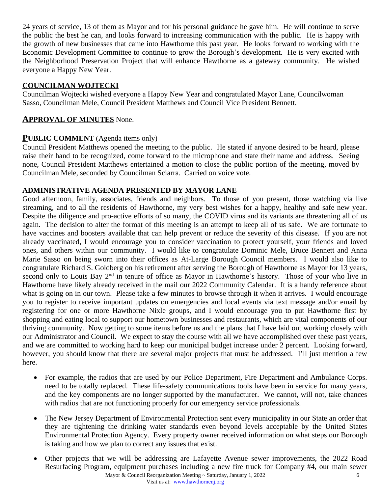24 years of service, 13 of them as Mayor and for his personal guidance he gave him. He will continue to serve the public the best he can, and looks forward to increasing communication with the public. He is happy with the growth of new businesses that came into Hawthorne this past year. He looks forward to working with the Economic Development Committee to continue to grow the Borough's development. He is very excited with the Neighborhood Preservation Project that will enhance Hawthorne as a gateway community. He wished everyone a Happy New Year.

### **COUNCILMAN WOJTECKI**

Councilman Wojtecki wished everyone a Happy New Year and congratulated Mayor Lane, Councilwoman Sasso, Councilman Mele, Council President Matthews and Council Vice President Bennett.

## **APPROVAL OF MINUTES** None.

## **PUBLIC COMMENT** (Agenda items only)

Council President Matthews opened the meeting to the public. He stated if anyone desired to be heard, please raise their hand to be recognized, come forward to the microphone and state their name and address. Seeing none, Council President Matthews entertained a motion to close the public portion of the meeting, moved by Councilman Mele, seconded by Councilman Sciarra. Carried on voice vote.

### **ADMINISTRATIVE AGENDA PRESENTED BY MAYOR LANE**

Good afternoon, family, associates, friends and neighbors. To those of you present, those watching via live streaming, and to all the residents of Hawthorne, my very best wishes for a happy, healthy and safe new year. Despite the diligence and pro-active efforts of so many, the COVID virus and its variants are threatening all of us again. The decision to alter the format of this meeting is an attempt to keep all of us safe. We are fortunate to have vaccines and boosters available that can help prevent or reduce the severity of this disease. If you are not already vaccinated, I would encourage you to consider vaccination to protect yourself, your friends and loved ones, and others within our community. I would like to congratulate Dominic Mele, Bruce Bennett and Anna Marie Sasso on being sworn into their offices as At-Large Borough Council members. I would also like to congratulate Richard S. Goldberg on his retirement after serving the Borough of Hawthorne as Mayor for 13 years, second only to Louis Bay 2<sup>nd</sup> in tenure of office as Mayor in Hawthorne's history. Those of your who live in Hawthorne have likely already received in the mail our 2022 Community Calendar. It is a handy reference about what is going on in our town. Please take a few minutes to browse through it when it arrives. I would encourage you to register to receive important updates on emergencies and local events via text message and/or email by registering for one or more Hawthorne Nixle groups, and I would encourage you to put Hawthorne first by shopping and eating local to support our hometown businesses and restaurants, which are vital components of our thriving community. Now getting to some items before us and the plans that I have laid out working closely with our Administrator and Council. We expect to stay the course with all we have accomplished over these past years, and we are committed to working hard to keep our municipal budget increase under 2 percent. Looking forward, however, you should know that there are several major projects that must be addressed. I'll just mention a few here.

- For example, the radios that are used by our Police Department, Fire Department and Ambulance Corps. need to be totally replaced. These life-safety communications tools have been in service for many years, and the key components are no longer supported by the manufacturer. We cannot, will not, take chances with radios that are not functioning properly for our emergency service professionals.
- The New Jersey Department of Environmental Protection sent every municipality in our State an order that they are tightening the drinking water standards even beyond levels acceptable by the United States Environmental Protection Agency. Every property owner received information on what steps our Borough is taking and how we plan to correct any issues that exist.
- Mayor & Council Reorganization Meeting ~ Saturday, January 1, 2022 6 Other projects that we will be addressing are Lafayette Avenue sewer improvements, the 2022 Road Resurfacing Program, equipment purchases including a new fire truck for Company #4, our main sewer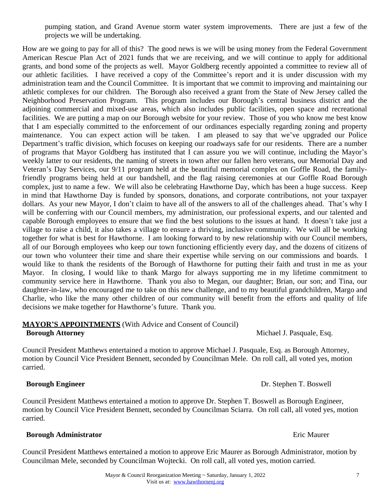pumping station, and Grand Avenue storm water system improvements. There are just a few of the projects we will be undertaking.

How are we going to pay for all of this? The good news is we will be using money from the Federal Government American Rescue Plan Act of 2021 funds that we are receiving, and we will continue to apply for additional grants, and bond some of the projects as well. Mayor Goldberg recently appointed a committee to review all of our athletic facilities. I have received a copy of the Committee's report and it is under discussion with my administration team and the Council Committee. It is important that we commit to improving and maintaining our athletic complexes for our children. The Borough also received a grant from the State of New Jersey called the Neighborhood Preservation Program. This program includes our Borough's central business district and the adjoining commercial and mixed-use areas, which also includes public facilities, open space and recreational facilities. We are putting a map on our Borough website for your review. Those of you who know me best know that I am especially committed to the enforcement of our ordinances especially regarding zoning and property maintenance. You can expect action will be taken. I am pleased to say that we've upgraded our Police Department's traffic division, which focuses on keeping our roadways safe for our residents. There are a number of programs that Mayor Goldberg has instituted that I can assure you we will continue, including the Mayor's weekly latter to our residents, the naming of streets in town after our fallen hero veterans, our Memorial Day and Veteran's Day Services, our 9/11 program held at the beautiful memorial complex on Goffle Road, the familyfriendly programs being held at our bandshell, and the flag raising ceremonies at our Goffle Road Borough complex, just to name a few. We will also be celebrating Hawthorne Day, which has been a huge success. Keep in mind that Hawthorne Day is funded by sponsors, donations, and corporate contributions, not your taxpayer dollars. As your new Mayor, I don't claim to have all of the answers to all of the challenges ahead. That's why I will be conferring with our Council members, my administration, our professional experts, and our talented and capable Borough employees to ensure that we find the best solutions to the issues at hand. It doesn't take just a village to raise a child, it also takes a village to ensure a thriving, inclusive community. We will all be working together for what is best for Hawthorne. I am looking forward to by new relationship with our Council members, all of our Borough employees who keep our town functioning efficiently every day, and the dozens of citizens of our town who volunteer their time and share their expertise while serving on our commissions and boards. I would like to thank the residents of the Borough of Hawthorne for putting their faith and trust in me as your Mayor. In closing, I would like to thank Margo for always supporting me in my lifetime commitment to community service here in Hawthorne. Thank you also to Megan, our daughter; Brian, our son; and Tina, our daughter-in-law, who encouraged me to take on this new challenge, and to my beautiful grandchildren, Margo and Charlie, who like the many other children of our community will benefit from the efforts and quality of life decisions we make together for Hawthorne's future. Thank you.

#### **MAYOR'S APPOINTMENTS** (With Advice and Consent of Council) **Borough Attorney Michael J. Pasquale, Esq.**

Council President Matthews entertained a motion to approve Michael J. Pasquale, Esq. as Borough Attorney, motion by Council Vice President Bennett, seconded by Councilman Mele. On roll call, all voted yes, motion carried.

### **Borough Engineer** Dr. Stephen T. Boswell

Council President Matthews entertained a motion to approve Dr. Stephen T. Boswell as Borough Engineer, motion by Council Vice President Bennett, seconded by Councilman Sciarra. On roll call, all voted yes, motion carried.

### **Borough Administrator Existence** *Eric Maurer* **Existence Existence Existence Existence Existence Existence**

Council President Matthews entertained a motion to approve Eric Maurer as Borough Administrator, motion by Councilman Mele, seconded by Councilman Wojtecki. On roll call, all voted yes, motion carried.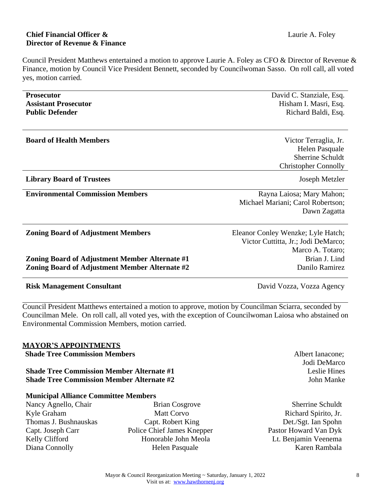# **Chief Financial Officer &** Laurie A. Foley  **Director of Revenue & Finance**

Council President Matthews entertained a motion to approve Laurie A. Foley as CFO & Director of Revenue & Finance, motion by Council Vice President Bennett, seconded by Councilwoman Sasso. On roll call, all voted yes, motion carried.

| <b>Prosecutor</b>                                                                       |                            | David C. Stanziale, Esq.                                                                                                                                                                                          |  |
|-----------------------------------------------------------------------------------------|----------------------------|-------------------------------------------------------------------------------------------------------------------------------------------------------------------------------------------------------------------|--|
| <b>Assistant Prosecutor</b>                                                             |                            | Hisham I. Masri, Esq.                                                                                                                                                                                             |  |
| <b>Public Defender</b>                                                                  |                            | Richard Baldi, Esq.                                                                                                                                                                                               |  |
| <b>Board of Health Members</b>                                                          |                            | Victor Terraglia, Jr.                                                                                                                                                                                             |  |
|                                                                                         |                            | Helen Pasquale                                                                                                                                                                                                    |  |
|                                                                                         |                            | Sherrine Schuldt                                                                                                                                                                                                  |  |
|                                                                                         |                            | <b>Christopher Connolly</b>                                                                                                                                                                                       |  |
| <b>Library Board of Trustees</b>                                                        |                            | Joseph Metzler                                                                                                                                                                                                    |  |
| <b>Environmental Commission Members</b>                                                 |                            | Rayna Laiosa; Mary Mahon;                                                                                                                                                                                         |  |
|                                                                                         |                            | Michael Mariani; Carol Robertson;                                                                                                                                                                                 |  |
|                                                                                         |                            | Dawn Zagatta                                                                                                                                                                                                      |  |
| <b>Zoning Board of Adjustment Members</b>                                               |                            | Eleanor Conley Wenzke; Lyle Hatch;                                                                                                                                                                                |  |
|                                                                                         |                            | Victor Cuttitta, Jr.; Jodi DeMarco;                                                                                                                                                                               |  |
|                                                                                         |                            | Marco A. Totaro;                                                                                                                                                                                                  |  |
| Zoning Board of Adjustment Member Alternate #1                                          |                            | Brian J. Lind                                                                                                                                                                                                     |  |
| Zoning Board of Adjustment Member Alternate #2                                          |                            | Danilo Ramirez                                                                                                                                                                                                    |  |
| <b>Risk Management Consultant</b>                                                       |                            | David Vozza, Vozza Agency                                                                                                                                                                                         |  |
| <b>Environmental Commission Members, motion carried.</b><br><b>MAYOR'S APPOINTMENTS</b> |                            | Council President Matthews entertained a motion to approve, motion by Councilman Sciarra, seconded by<br>Councilman Mele. On roll call, all voted yes, with the exception of Councilwoman Laiosa who abstained on |  |
| <b>Shade Tree Commission Members</b>                                                    |                            | Albert Ianacone;                                                                                                                                                                                                  |  |
|                                                                                         |                            | Jodi DeMarco                                                                                                                                                                                                      |  |
| <b>Shade Tree Commission Member Alternate #1</b>                                        |                            | Leslie Hines                                                                                                                                                                                                      |  |
| <b>Shade Tree Commission Member Alternate #2</b>                                        |                            | John Manke                                                                                                                                                                                                        |  |
| <b>Municipal Alliance Committee Members</b>                                             |                            |                                                                                                                                                                                                                   |  |
| Nancy Agnello, Chair                                                                    | <b>Brian Cosgrove</b>      | Sherrine Schuldt                                                                                                                                                                                                  |  |
| Kyle Graham                                                                             | <b>Matt Corvo</b>          | Richard Spirito, Jr.                                                                                                                                                                                              |  |
| Thomas J. Bushnauskas                                                                   | Capt. Robert King          | Det./Sgt. Ian Spohn                                                                                                                                                                                               |  |
| Capt. Joseph Carr                                                                       | Police Chief James Knepper | Pastor Howard Van Dyk                                                                                                                                                                                             |  |
| Kelly Clifford                                                                          | Honorable John Meola       | Lt. Benjamin Veenema                                                                                                                                                                                              |  |
| Diana Connolly                                                                          | Helen Pasquale             | Karen Rambala                                                                                                                                                                                                     |  |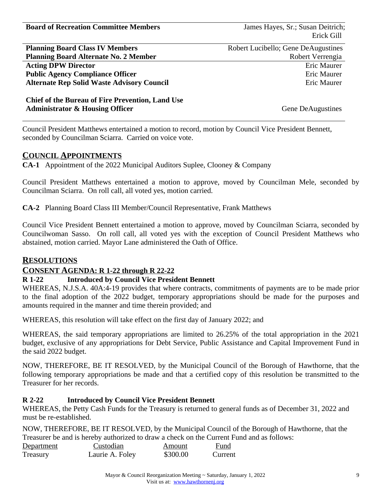**Board of Recreation Committee Members** James Hayes, Sr.; Susan Deitrich;

Erick Gill

| <b>Planning Board Class IV Members</b>            |
|---------------------------------------------------|
| <b>Planning Board Alternate No. 2 Member</b>      |
| <b>Acting DPW Director</b>                        |
| <b>Public Agency Compliance Officer</b>           |
| <b>Alternate Rep Solid Waste Advisory Council</b> |
|                                                   |

 Robert Lucibello; Gene DeAugustines Robert Verrengia Eric Maurer Eric Maurer Eric Maurer

**Chief of the Bureau of Fire Prevention, Land Use Administrator & Housing Officer**

Gene DeAugustines

Council President Matthews entertained a motion to record, motion by Council Vice President Bennett, seconded by Councilman Sciarra. Carried on voice vote.

### **COUNCIL APPOINTMENTS**

**CA-1** Appointment of the 2022 Municipal Auditors Suplee, Clooney & Company

Council President Matthews entertained a motion to approve, moved by Councilman Mele, seconded by Councilman Sciarra. On roll call, all voted yes, motion carried.

**CA-2** Planning Board Class III Member/Council Representative, Frank Matthews

Council Vice President Bennett entertained a motion to approve, moved by Councilman Sciarra, seconded by Councilwoman Sasso. On roll call, all voted yes with the exception of Council President Matthews who abstained, motion carried. Mayor Lane administered the Oath of Office.

### **RESOLUTIONS**

## **CONSENT AGENDA: R 1-22 through R 22-22**

### **R 1-22 Introduced by Council Vice President Bennett**

WHEREAS, N.J.S.A. 40A:4-19 provides that where contracts, commitments of payments are to be made prior to the final adoption of the 2022 budget, temporary appropriations should be made for the purposes and amounts required in the manner and time therein provided; and

WHEREAS, this resolution will take effect on the first day of January 2022; and

WHEREAS, the said temporary appropriations are limited to 26.25% of the total appropriation in the 2021 budget, exclusive of any appropriations for Debt Service, Public Assistance and Capital Improvement Fund in the said 2022 budget.

NOW, THEREFORE, BE IT RESOLVED, by the Municipal Council of the Borough of Hawthorne, that the following temporary appropriations be made and that a certified copy of this resolution be transmitted to the Treasurer for her records.

### **R 2-22 Introduced by Council Vice President Bennett**

WHEREAS, the Petty Cash Funds for the Treasury is returned to general funds as of December 31, 2022 and must be re-established.

NOW, THEREFORE, BE IT RESOLVED, by the Municipal Council of the Borough of Hawthorne, that the Treasurer be and is hereby authorized to draw a check on the Current Fund and as follows:

| Department | Custodian       | Amount   | Fund    |
|------------|-----------------|----------|---------|
| Treasury   | Laurie A. Foley | \$300.00 | Current |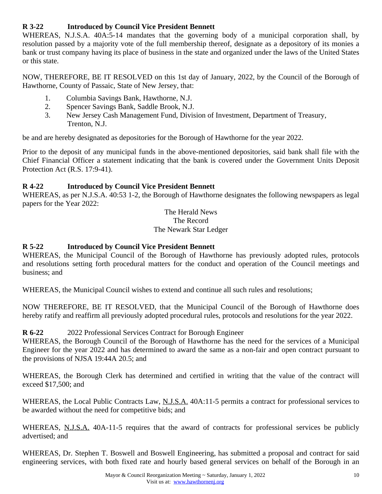# **R 3-22 Introduced by Council Vice President Bennett**

WHEREAS, N.J.S.A. 40A:5-14 mandates that the governing body of a municipal corporation shall, by resolution passed by a majority vote of the full membership thereof, designate as a depository of its monies a bank or trust company having its place of business in the state and organized under the laws of the United States or this state.

NOW, THEREFORE, BE IT RESOLVED on this 1st day of January, 2022, by the Council of the Borough of Hawthorne, County of Passaic, State of New Jersey, that:

- 1. Columbia Savings Bank, Hawthorne, N.J.
- 2. Spencer Savings Bank, Saddle Brook, N.J.
- 3. New Jersey Cash Management Fund, Division of Investment, Department of Treasury, Trenton, N.J.

be and are hereby designated as depositories for the Borough of Hawthorne for the year 2022.

Prior to the deposit of any municipal funds in the above-mentioned depositories, said bank shall file with the Chief Financial Officer a statement indicating that the bank is covered under the Government Units Deposit Protection Act (R.S. 17:9-41).

## **R 4-22 Introduced by Council Vice President Bennett**

WHEREAS, as per N.J.S.A. 40:53 1-2, the Borough of Hawthorne designates the following newspapers as legal papers for the Year 2022:

> The Herald News The Record The Newark Star Ledger

# **R 5-22 Introduced by Council Vice President Bennett**

WHEREAS, the Municipal Council of the Borough of Hawthorne has previously adopted rules, protocols and resolutions setting forth procedural matters for the conduct and operation of the Council meetings and business; and

WHEREAS, the Municipal Council wishes to extend and continue all such rules and resolutions;

NOW THEREFORE, BE IT RESOLVED, that the Municipal Council of the Borough of Hawthorne does hereby ratify and reaffirm all previously adopted procedural rules, protocols and resolutions for the year 2022.

# **R 6-22** 2022 Professional Services Contract for Borough Engineer

WHEREAS, the Borough Council of the Borough of Hawthorne has the need for the services of a Municipal Engineer for the year 2022 and has determined to award the same as a non-fair and open contract pursuant to the provisions of NJSA 19:44A 20.5; and

WHEREAS, the Borough Clerk has determined and certified in writing that the value of the contract will exceed \$17,500; and

WHEREAS, the Local Public Contracts Law, N.J.S.A. 40A:11-5 permits a contract for professional services to be awarded without the need for competitive bids; and

WHEREAS, N.J.S.A. 40A-11-5 requires that the award of contracts for professional services be publicly advertised; and

WHEREAS, Dr. Stephen T. Boswell and Boswell Engineering, has submitted a proposal and contract for said engineering services, with both fixed rate and hourly based general services on behalf of the Borough in an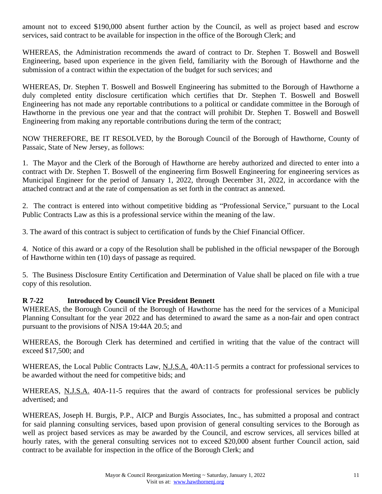amount not to exceed \$190,000 absent further action by the Council, as well as project based and escrow services, said contract to be available for inspection in the office of the Borough Clerk; and

WHEREAS, the Administration recommends the award of contract to Dr. Stephen T. Boswell and Boswell Engineering, based upon experience in the given field, familiarity with the Borough of Hawthorne and the submission of a contract within the expectation of the budget for such services; and

WHEREAS, Dr. Stephen T. Boswell and Boswell Engineering has submitted to the Borough of Hawthorne a duly completed entity disclosure certification which certifies that Dr. Stephen T. Boswell and Boswell Engineering has not made any reportable contributions to a political or candidate committee in the Borough of Hawthorne in the previous one year and that the contract will prohibit Dr. Stephen T. Boswell and Boswell Engineering from making any reportable contributions during the term of the contract;

NOW THEREFORE, BE IT RESOLVED, by the Borough Council of the Borough of Hawthorne, County of Passaic, State of New Jersey, as follows:

1. The Mayor and the Clerk of the Borough of Hawthorne are hereby authorized and directed to enter into a contract with Dr. Stephen T. Boswell of the engineering firm Boswell Engineering for engineering services as Municipal Engineer for the period of January 1, 2022, through December 31, 2022, in accordance with the attached contract and at the rate of compensation as set forth in the contract as annexed.

2. The contract is entered into without competitive bidding as "Professional Service," pursuant to the Local Public Contracts Law as this is a professional service within the meaning of the law.

3. The award of this contract is subject to certification of funds by the Chief Financial Officer.

4. Notice of this award or a copy of the Resolution shall be published in the official newspaper of the Borough of Hawthorne within ten (10) days of passage as required.

5. The Business Disclosure Entity Certification and Determination of Value shall be placed on file with a true copy of this resolution.

## **R 7-22 Introduced by Council Vice President Bennett**

WHEREAS, the Borough Council of the Borough of Hawthorne has the need for the services of a Municipal Planning Consultant for the year 2022 and has determined to award the same as a non-fair and open contract pursuant to the provisions of NJSA 19:44A 20.5; and

WHEREAS, the Borough Clerk has determined and certified in writing that the value of the contract will exceed \$17,500; and

WHEREAS, the Local Public Contracts Law, N.J.S.A. 40A:11-5 permits a contract for professional services to be awarded without the need for competitive bids; and

WHEREAS, N.J.S.A. 40A-11-5 requires that the award of contracts for professional services be publicly advertised; and

WHEREAS, Joseph H. Burgis, P.P., AICP and Burgis Associates, Inc., has submitted a proposal and contract for said planning consulting services, based upon provision of general consulting services to the Borough as well as project based services as may be awarded by the Council, and escrow services, all services billed at hourly rates, with the general consulting services not to exceed \$20,000 absent further Council action, said contract to be available for inspection in the office of the Borough Clerk; and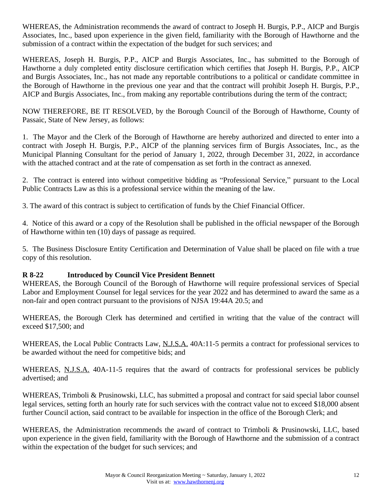WHEREAS, the Administration recommends the award of contract to Joseph H. Burgis, P.P., AICP and Burgis Associates, Inc., based upon experience in the given field, familiarity with the Borough of Hawthorne and the submission of a contract within the expectation of the budget for such services; and

WHEREAS, Joseph H. Burgis, P.P., AICP and Burgis Associates, Inc., has submitted to the Borough of Hawthorne a duly completed entity disclosure certification which certifies that Joseph H. Burgis, P.P., AICP and Burgis Associates, Inc., has not made any reportable contributions to a political or candidate committee in the Borough of Hawthorne in the previous one year and that the contract will prohibit Joseph H. Burgis, P.P., AICP and Burgis Associates, Inc., from making any reportable contributions during the term of the contract;

NOW THEREFORE, BE IT RESOLVED, by the Borough Council of the Borough of Hawthorne, County of Passaic, State of New Jersey, as follows:

1. The Mayor and the Clerk of the Borough of Hawthorne are hereby authorized and directed to enter into a contract with Joseph H. Burgis, P.P., AICP of the planning services firm of Burgis Associates, Inc., as the Municipal Planning Consultant for the period of January 1, 2022, through December 31, 2022, in accordance with the attached contract and at the rate of compensation as set forth in the contract as annexed.

2. The contract is entered into without competitive bidding as "Professional Service," pursuant to the Local Public Contracts Law as this is a professional service within the meaning of the law.

3. The award of this contract is subject to certification of funds by the Chief Financial Officer.

4. Notice of this award or a copy of the Resolution shall be published in the official newspaper of the Borough of Hawthorne within ten (10) days of passage as required.

5. The Business Disclosure Entity Certification and Determination of Value shall be placed on file with a true copy of this resolution.

## **R 8-22 Introduced by Council Vice President Bennett**

WHEREAS, the Borough Council of the Borough of Hawthorne will require professional services of Special Labor and Employment Counsel for legal services for the year 2022 and has determined to award the same as a non-fair and open contract pursuant to the provisions of NJSA 19:44A 20.5; and

WHEREAS, the Borough Clerk has determined and certified in writing that the value of the contract will exceed \$17,500; and

WHEREAS, the Local Public Contracts Law, N.J.S.A. 40A:11-5 permits a contract for professional services to be awarded without the need for competitive bids; and

WHEREAS, N.J.S.A. 40A-11-5 requires that the award of contracts for professional services be publicly advertised; and

WHEREAS, Trimboli & Prusinowski, LLC, has submitted a proposal and contract for said special labor counsel legal services, setting forth an hourly rate for such services with the contract value not to exceed \$18,000 absent further Council action, said contract to be available for inspection in the office of the Borough Clerk; and

WHEREAS, the Administration recommends the award of contract to Trimboli & Prusinowski, LLC, based upon experience in the given field, familiarity with the Borough of Hawthorne and the submission of a contract within the expectation of the budget for such services; and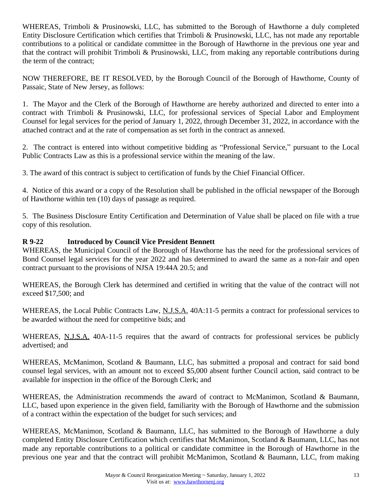WHEREAS, Trimboli & Prusinowski, LLC, has submitted to the Borough of Hawthorne a duly completed Entity Disclosure Certification which certifies that Trimboli & Prusinowski, LLC, has not made any reportable contributions to a political or candidate committee in the Borough of Hawthorne in the previous one year and that the contract will prohibit Trimboli & Prusinowski, LLC, from making any reportable contributions during the term of the contract;

NOW THEREFORE, BE IT RESOLVED, by the Borough Council of the Borough of Hawthorne, County of Passaic, State of New Jersey, as follows:

1. The Mayor and the Clerk of the Borough of Hawthorne are hereby authorized and directed to enter into a contract with Trimboli & Prusinowski, LLC, for professional services of Special Labor and Employment Counsel for legal services for the period of January 1, 2022, through December 31, 2022, in accordance with the attached contract and at the rate of compensation as set forth in the contract as annexed.

2. The contract is entered into without competitive bidding as "Professional Service," pursuant to the Local Public Contracts Law as this is a professional service within the meaning of the law.

3. The award of this contract is subject to certification of funds by the Chief Financial Officer.

4. Notice of this award or a copy of the Resolution shall be published in the official newspaper of the Borough of Hawthorne within ten (10) days of passage as required.

5. The Business Disclosure Entity Certification and Determination of Value shall be placed on file with a true copy of this resolution.

# **R 9-22 Introduced by Council Vice President Bennett**

WHEREAS, the Municipal Council of the Borough of Hawthorne has the need for the professional services of Bond Counsel legal services for the year 2022 and has determined to award the same as a non-fair and open contract pursuant to the provisions of NJSA 19:44A 20.5; and

WHEREAS, the Borough Clerk has determined and certified in writing that the value of the contract will not exceed \$17,500; and

WHEREAS, the Local Public Contracts Law, N.J.S.A. 40A:11-5 permits a contract for professional services to be awarded without the need for competitive bids; and

WHEREAS, N.J.S.A. 40A-11-5 requires that the award of contracts for professional services be publicly advertised; and

WHEREAS, McManimon, Scotland & Baumann, LLC, has submitted a proposal and contract for said bond counsel legal services, with an amount not to exceed \$5,000 absent further Council action, said contract to be available for inspection in the office of the Borough Clerk; and

WHEREAS, the Administration recommends the award of contract to McManimon, Scotland & Baumann, LLC, based upon experience in the given field, familiarity with the Borough of Hawthorne and the submission of a contract within the expectation of the budget for such services; and

WHEREAS, McManimon, Scotland & Baumann, LLC, has submitted to the Borough of Hawthorne a duly completed Entity Disclosure Certification which certifies that McManimon, Scotland & Baumann, LLC, has not made any reportable contributions to a political or candidate committee in the Borough of Hawthorne in the previous one year and that the contract will prohibit McManimon, Scotland & Baumann, LLC, from making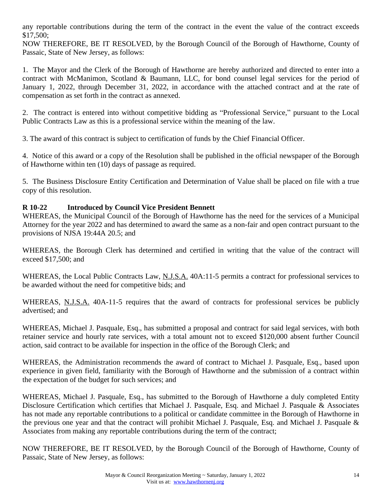any reportable contributions during the term of the contract in the event the value of the contract exceeds \$17,500;

NOW THEREFORE, BE IT RESOLVED, by the Borough Council of the Borough of Hawthorne, County of Passaic, State of New Jersey, as follows:

1. The Mayor and the Clerk of the Borough of Hawthorne are hereby authorized and directed to enter into a contract with McManimon, Scotland & Baumann, LLC, for bond counsel legal services for the period of January 1, 2022, through December 31, 2022, in accordance with the attached contract and at the rate of compensation as set forth in the contract as annexed.

2. The contract is entered into without competitive bidding as "Professional Service," pursuant to the Local Public Contracts Law as this is a professional service within the meaning of the law.

3. The award of this contract is subject to certification of funds by the Chief Financial Officer.

4. Notice of this award or a copy of the Resolution shall be published in the official newspaper of the Borough of Hawthorne within ten (10) days of passage as required.

5. The Business Disclosure Entity Certification and Determination of Value shall be placed on file with a true copy of this resolution.

# **R 10-22 Introduced by Council Vice President Bennett**

WHEREAS, the Municipal Council of the Borough of Hawthorne has the need for the services of a Municipal Attorney for the year 2022 and has determined to award the same as a non-fair and open contract pursuant to the provisions of NJSA 19:44A 20.5; and

WHEREAS, the Borough Clerk has determined and certified in writing that the value of the contract will exceed \$17,500; and

WHEREAS, the Local Public Contracts Law, N.J.S.A. 40A:11-5 permits a contract for professional services to be awarded without the need for competitive bids; and

WHEREAS, N.J.S.A. 40A-11-5 requires that the award of contracts for professional services be publicly advertised; and

WHEREAS, Michael J. Pasquale, Esq., has submitted a proposal and contract for said legal services, with both retainer service and hourly rate services, with a total amount not to exceed \$120,000 absent further Council action, said contract to be available for inspection in the office of the Borough Clerk; and

WHEREAS, the Administration recommends the award of contract to Michael J. Pasquale, Esq., based upon experience in given field, familiarity with the Borough of Hawthorne and the submission of a contract within the expectation of the budget for such services; and

WHEREAS, Michael J. Pasquale, Esq., has submitted to the Borough of Hawthorne a duly completed Entity Disclosure Certification which certifies that Michael J. Pasquale, Esq. and Michael J. Pasquale & Associates has not made any reportable contributions to a political or candidate committee in the Borough of Hawthorne in the previous one year and that the contract will prohibit Michael J. Pasquale, Esq. and Michael J. Pasquale & Associates from making any reportable contributions during the term of the contract;

NOW THEREFORE, BE IT RESOLVED, by the Borough Council of the Borough of Hawthorne, County of Passaic, State of New Jersey, as follows: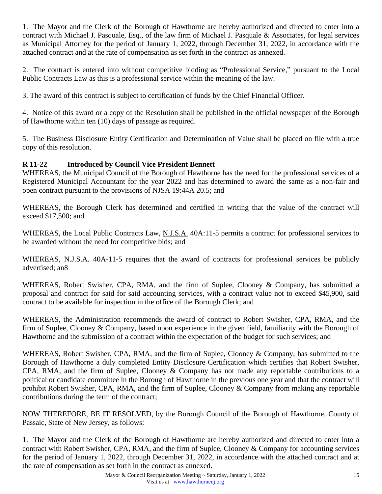1. The Mayor and the Clerk of the Borough of Hawthorne are hereby authorized and directed to enter into a contract with Michael J. Pasquale, Esq., of the law firm of Michael J. Pasquale & Associates, for legal services as Municipal Attorney for the period of January 1, 2022, through December 31, 2022, in accordance with the attached contract and at the rate of compensation as set forth in the contract as annexed.

2. The contract is entered into without competitive bidding as "Professional Service," pursuant to the Local Public Contracts Law as this is a professional service within the meaning of the law.

3. The award of this contract is subject to certification of funds by the Chief Financial Officer.

4. Notice of this award or a copy of the Resolution shall be published in the official newspaper of the Borough of Hawthorne within ten (10) days of passage as required.

5. The Business Disclosure Entity Certification and Determination of Value shall be placed on file with a true copy of this resolution.

# **R 11-22 Introduced by Council Vice President Bennett**

WHEREAS, the Municipal Council of the Borough of Hawthorne has the need for the professional services of a Registered Municipal Accountant for the year 2022 and has determined to award the same as a non-fair and open contract pursuant to the provisions of NJSA 19:44A 20.5; and

WHEREAS, the Borough Clerk has determined and certified in writing that the value of the contract will exceed \$17,500; and

WHEREAS, the Local Public Contracts Law, N.J.S.A. 40A:11-5 permits a contract for professional services to be awarded without the need for competitive bids; and

WHEREAS, N.J.S.A. 40A-11-5 requires that the award of contracts for professional services be publicly advertised; an8

WHEREAS, Robert Swisher, CPA, RMA, and the firm of Suplee, Clooney & Company, has submitted a proposal and contract for said for said accounting services, with a contract value not to exceed \$45,900, said contract to be available for inspection in the office of the Borough Clerk; and

WHEREAS, the Administration recommends the award of contract to Robert Swisher, CPA, RMA, and the firm of Suplee, Clooney & Company, based upon experience in the given field, familiarity with the Borough of Hawthorne and the submission of a contract within the expectation of the budget for such services; and

WHEREAS, Robert Swisher, CPA, RMA, and the firm of Suplee, Clooney & Company, has submitted to the Borough of Hawthorne a duly completed Entity Disclosure Certification which certifies that Robert Swisher, CPA, RMA, and the firm of Suplee, Clooney & Company has not made any reportable contributions to a political or candidate committee in the Borough of Hawthorne in the previous one year and that the contract will prohibit Robert Swisher, CPA, RMA, and the firm of Suplee, Clooney & Company from making any reportable contributions during the term of the contract;

NOW THEREFORE, BE IT RESOLVED, by the Borough Council of the Borough of Hawthorne, County of Passaic, State of New Jersey, as follows:

1. The Mayor and the Clerk of the Borough of Hawthorne are hereby authorized and directed to enter into a contract with Robert Swisher, CPA, RMA, and the firm of Suplee, Clooney & Company for accounting services for the period of January 1, 2022, through December 31, 2022, in accordance with the attached contract and at the rate of compensation as set forth in the contract as annexed.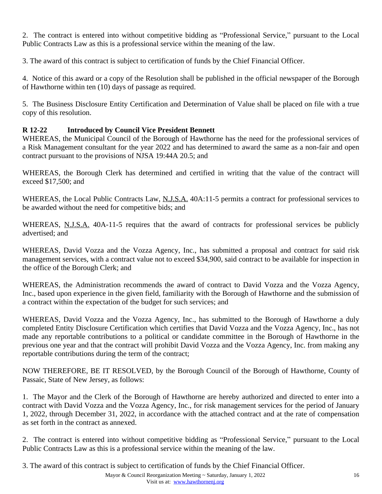2. The contract is entered into without competitive bidding as "Professional Service," pursuant to the Local Public Contracts Law as this is a professional service within the meaning of the law.

3. The award of this contract is subject to certification of funds by the Chief Financial Officer.

4. Notice of this award or a copy of the Resolution shall be published in the official newspaper of the Borough of Hawthorne within ten (10) days of passage as required.

5. The Business Disclosure Entity Certification and Determination of Value shall be placed on file with a true copy of this resolution.

# **R 12-22 Introduced by Council Vice President Bennett**

WHEREAS, the Municipal Council of the Borough of Hawthorne has the need for the professional services of a Risk Management consultant for the year 2022 and has determined to award the same as a non-fair and open contract pursuant to the provisions of NJSA 19:44A 20.5; and

WHEREAS, the Borough Clerk has determined and certified in writing that the value of the contract will exceed \$17,500; and

WHEREAS, the Local Public Contracts Law, N.J.S.A. 40A:11-5 permits a contract for professional services to be awarded without the need for competitive bids; and

WHEREAS, N.J.S.A. 40A-11-5 requires that the award of contracts for professional services be publicly advertised; and

WHEREAS, David Vozza and the Vozza Agency, Inc., has submitted a proposal and contract for said risk management services, with a contract value not to exceed \$34,900, said contract to be available for inspection in the office of the Borough Clerk; and

WHEREAS, the Administration recommends the award of contract to David Vozza and the Vozza Agency, Inc., based upon experience in the given field, familiarity with the Borough of Hawthorne and the submission of a contract within the expectation of the budget for such services; and

WHEREAS, David Vozza and the Vozza Agency, Inc., has submitted to the Borough of Hawthorne a duly completed Entity Disclosure Certification which certifies that David Vozza and the Vozza Agency, Inc., has not made any reportable contributions to a political or candidate committee in the Borough of Hawthorne in the previous one year and that the contract will prohibit David Vozza and the Vozza Agency, Inc. from making any reportable contributions during the term of the contract;

NOW THEREFORE, BE IT RESOLVED, by the Borough Council of the Borough of Hawthorne, County of Passaic, State of New Jersey, as follows:

1. The Mayor and the Clerk of the Borough of Hawthorne are hereby authorized and directed to enter into a contract with David Vozza and the Vozza Agency, Inc., for risk management services for the period of January 1, 2022, through December 31, 2022, in accordance with the attached contract and at the rate of compensation as set forth in the contract as annexed.

2. The contract is entered into without competitive bidding as "Professional Service," pursuant to the Local Public Contracts Law as this is a professional service within the meaning of the law.

3. The award of this contract is subject to certification of funds by the Chief Financial Officer.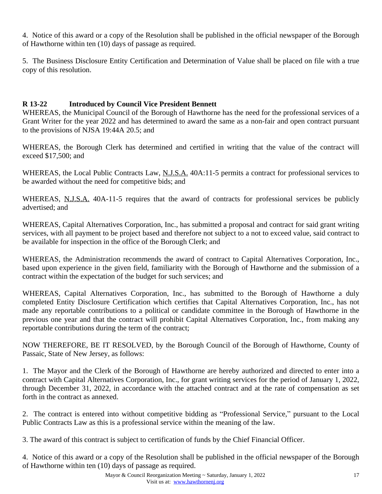4. Notice of this award or a copy of the Resolution shall be published in the official newspaper of the Borough of Hawthorne within ten (10) days of passage as required.

5. The Business Disclosure Entity Certification and Determination of Value shall be placed on file with a true copy of this resolution.

## **R 13-22 Introduced by Council Vice President Bennett**

WHEREAS, the Municipal Council of the Borough of Hawthorne has the need for the professional services of a Grant Writer for the year 2022 and has determined to award the same as a non-fair and open contract pursuant to the provisions of NJSA 19:44A 20.5; and

WHEREAS, the Borough Clerk has determined and certified in writing that the value of the contract will exceed \$17,500; and

WHEREAS, the Local Public Contracts Law, N.J.S.A. 40A:11-5 permits a contract for professional services to be awarded without the need for competitive bids; and

WHEREAS, N.J.S.A. 40A-11-5 requires that the award of contracts for professional services be publicly advertised; and

WHEREAS, Capital Alternatives Corporation, Inc., has submitted a proposal and contract for said grant writing services, with all payment to be project based and therefore not subject to a not to exceed value, said contract to be available for inspection in the office of the Borough Clerk; and

WHEREAS, the Administration recommends the award of contract to Capital Alternatives Corporation, Inc., based upon experience in the given field, familiarity with the Borough of Hawthorne and the submission of a contract within the expectation of the budget for such services; and

WHEREAS, Capital Alternatives Corporation, Inc., has submitted to the Borough of Hawthorne a duly completed Entity Disclosure Certification which certifies that Capital Alternatives Corporation, Inc., has not made any reportable contributions to a political or candidate committee in the Borough of Hawthorne in the previous one year and that the contract will prohibit Capital Alternatives Corporation, Inc., from making any reportable contributions during the term of the contract;

NOW THEREFORE, BE IT RESOLVED, by the Borough Council of the Borough of Hawthorne, County of Passaic, State of New Jersey, as follows:

1. The Mayor and the Clerk of the Borough of Hawthorne are hereby authorized and directed to enter into a contract with Capital Alternatives Corporation, Inc., for grant writing services for the period of January 1, 2022, through December 31, 2022, in accordance with the attached contract and at the rate of compensation as set forth in the contract as annexed.

2. The contract is entered into without competitive bidding as "Professional Service," pursuant to the Local Public Contracts Law as this is a professional service within the meaning of the law.

3. The award of this contract is subject to certification of funds by the Chief Financial Officer.

4. Notice of this award or a copy of the Resolution shall be published in the official newspaper of the Borough of Hawthorne within ten (10) days of passage as required.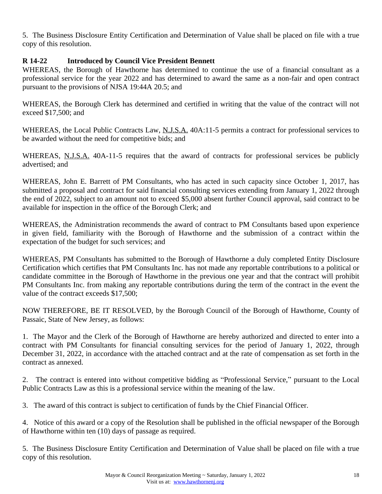5. The Business Disclosure Entity Certification and Determination of Value shall be placed on file with a true copy of this resolution.

## **R 14-22 Introduced by Council Vice President Bennett**

WHEREAS, the Borough of Hawthorne has determined to continue the use of a financial consultant as a professional service for the year 2022 and has determined to award the same as a non-fair and open contract pursuant to the provisions of NJSA 19:44A 20.5; and

WHEREAS, the Borough Clerk has determined and certified in writing that the value of the contract will not exceed \$17,500; and

WHEREAS, the Local Public Contracts Law, N.J.S.A. 40A:11-5 permits a contract for professional services to be awarded without the need for competitive bids; and

WHEREAS, N.J.S.A. 40A-11-5 requires that the award of contracts for professional services be publicly advertised; and

WHEREAS, John E. Barrett of PM Consultants, who has acted in such capacity since October 1, 2017, has submitted a proposal and contract for said financial consulting services extending from January 1, 2022 through the end of 2022, subject to an amount not to exceed \$5,000 absent further Council approval, said contract to be available for inspection in the office of the Borough Clerk; and

WHEREAS, the Administration recommends the award of contract to PM Consultants based upon experience in given field, familiarity with the Borough of Hawthorne and the submission of a contract within the expectation of the budget for such services; and

WHEREAS, PM Consultants has submitted to the Borough of Hawthorne a duly completed Entity Disclosure Certification which certifies that PM Consultants Inc. has not made any reportable contributions to a political or candidate committee in the Borough of Hawthorne in the previous one year and that the contract will prohibit PM Consultants Inc. from making any reportable contributions during the term of the contract in the event the value of the contract exceeds \$17,500;

NOW THEREFORE, BE IT RESOLVED, by the Borough Council of the Borough of Hawthorne, County of Passaic, State of New Jersey, as follows:

1. The Mayor and the Clerk of the Borough of Hawthorne are hereby authorized and directed to enter into a contract with PM Consultants for financial consulting services for the period of January 1, 2022, through December 31, 2022, in accordance with the attached contract and at the rate of compensation as set forth in the contract as annexed.

2. The contract is entered into without competitive bidding as "Professional Service," pursuant to the Local Public Contracts Law as this is a professional service within the meaning of the law.

3. The award of this contract is subject to certification of funds by the Chief Financial Officer.

4. Notice of this award or a copy of the Resolution shall be published in the official newspaper of the Borough of Hawthorne within ten (10) days of passage as required.

5. The Business Disclosure Entity Certification and Determination of Value shall be placed on file with a true copy of this resolution.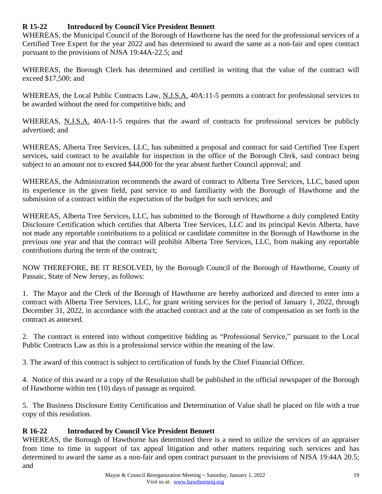## **R 15-22 Introduced by Council Vice President Bennett**

WHEREAS, the Municipal Council of the Borough of Hawthorne has the need for the professional services of a Certified Tree Expert for the year 2022 and has determined to award the same as a non-fair and open contract pursuant to the provisions of NJSA 19:44A-22.5; and

WHEREAS, the Borough Clerk has determined and certified in writing that the value of the contract will exceed \$17,500; and

WHEREAS, the Local Public Contracts Law, N.J.S.A. 40A:11-5 permits a contract for professional services to be awarded without the need for competitive bids; and

WHEREAS, N.J.S.A. 40A-11-5 requires that the award of contracts for professional services be publicly advertised; and

WHEREAS, Alberta Tree Services, LLC, has submitted a proposal and contract for said Certified Tree Expert services, said contract to be available for inspection in the office of the Borough Clerk, said contract being subject to an amount not to exceed \$44,000 for the year absent further Council approval; and

WHEREAS, the Administration recommends the award of contract to Alberta Tree Services, LLC, based upon its experience in the given field, past service to and familiarity with the Borough of Hawthorne and the submission of a contract within the expectation of the budget for such services; and

WHEREAS, Alberta Tree Services, LLC, has submitted to the Borough of Hawthorne a duly completed Entity Disclosure Certification which certifies that Alberta Tree Services, LLC and its principal Kevin Alberta, have not made any reportable contributions to a political or candidate committee in the Borough of Hawthorne in the previous one year and that the contract will prohibit Alberta Tree Services, LLC, from making any reportable contributions during the term of the contract;

NOW THEREFORE, BE IT RESOLVED, by the Borough Council of the Borough of Hawthorne, County of Passaic, State of New Jersey, as follows:

1. The Mayor and the Clerk of the Borough of Hawthorne are hereby authorized and directed to enter into a contract with Alberta Tree Services, LLC, for grant writing services for the period of January 1, 2022, through December 31, 2022, in accordance with the attached contract and at the rate of compensation as set forth in the contract as annexed.

2. The contract is entered into without competitive bidding as "Professional Service," pursuant to the Local Public Contracts Law as this is a professional service within the meaning of the law.

3. The award of this contract is subject to certification of funds by the Chief Financial Officer.

4. Notice of this award or a copy of the Resolution shall be published in the official newspaper of the Borough of Hawthorne within ten (10) days of passage as required.

5. The Business Disclosure Entity Certification and Determination of Value shall be placed on file with a true copy of this resolution.

# **R 16-22 Introduced by Council Vice President Bennett**

WHEREAS, the Borough of Hawthorne has determined there is a need to utilize the services of an appraiser from time to time in support of tax appeal litigation and other matters requiring such services and has determined to award the same as a non-fair and open contract pursuant to the provisions of NJSA 19:44A 20.5; and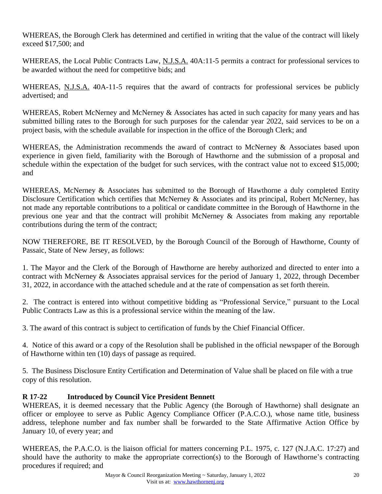WHEREAS, the Borough Clerk has determined and certified in writing that the value of the contract will likely exceed \$17,500; and

WHEREAS, the Local Public Contracts Law, N.J.S.A. 40A:11-5 permits a contract for professional services to be awarded without the need for competitive bids; and

WHEREAS, N.J.S.A. 40A-11-5 requires that the award of contracts for professional services be publicly advertised; and

WHEREAS, Robert McNerney and McNerney & Associates has acted in such capacity for many years and has submitted billing rates to the Borough for such purposes for the calendar year 2022, said services to be on a project basis, with the schedule available for inspection in the office of the Borough Clerk; and

WHEREAS, the Administration recommends the award of contract to McNerney & Associates based upon experience in given field, familiarity with the Borough of Hawthorne and the submission of a proposal and schedule within the expectation of the budget for such services, with the contract value not to exceed \$15,000; and

WHEREAS, McNerney & Associates has submitted to the Borough of Hawthorne a duly completed Entity Disclosure Certification which certifies that McNerney & Associates and its principal, Robert McNerney, has not made any reportable contributions to a political or candidate committee in the Borough of Hawthorne in the previous one year and that the contract will prohibit McNerney & Associates from making any reportable contributions during the term of the contract;

NOW THEREFORE, BE IT RESOLVED, by the Borough Council of the Borough of Hawthorne, County of Passaic, State of New Jersey, as follows:

1. The Mayor and the Clerk of the Borough of Hawthorne are hereby authorized and directed to enter into a contract with McNerney & Associates appraisal services for the period of January 1, 2022, through December 31, 2022, in accordance with the attached schedule and at the rate of compensation as set forth therein.

2. The contract is entered into without competitive bidding as "Professional Service," pursuant to the Local Public Contracts Law as this is a professional service within the meaning of the law.

3. The award of this contract is subject to certification of funds by the Chief Financial Officer.

4. Notice of this award or a copy of the Resolution shall be published in the official newspaper of the Borough of Hawthorne within ten (10) days of passage as required.

5. The Business Disclosure Entity Certification and Determination of Value shall be placed on file with a true copy of this resolution.

# **R 17-22 Introduced by Council Vice President Bennett**

WHEREAS, it is deemed necessary that the Public Agency (the Borough of Hawthorne) shall designate an officer or employee to serve as Public Agency Compliance Officer (P.A.C.O.), whose name title, business address, telephone number and fax number shall be forwarded to the State Affirmative Action Office by January 10, of every year; and

WHEREAS, the P.A.C.O. is the liaison official for matters concerning P.L. 1975, c. 127 (N.J.A.C. 17:27) and should have the authority to make the appropriate correction(s) to the Borough of Hawthorne's contracting procedures if required; and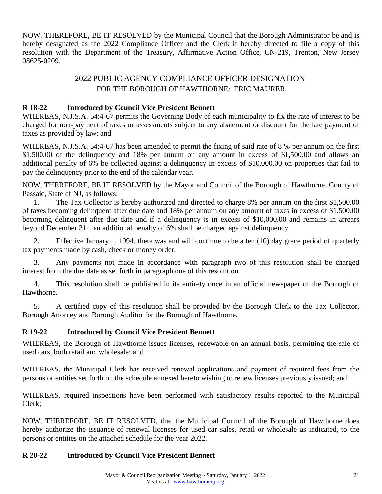NOW, THEREFORE, BE IT RESOLVED by the Municipal Council that the Borough Administrator be and is hereby designated as the 2022 Compliance Officer and the Clerk if hereby directed to file a copy of this resolution with the Department of the Treasury, Affirmative Action Office, CN-219, Trenton, New Jersey 08625-0209.

# 2022 PUBLIC AGENCY COMPLIANCE OFFICER DESIGNATION FOR THE BOROUGH OF HAWTHORNE: ERIC MAURER

### **R 18-22 Introduced by Council Vice President Bennett**

WHEREAS, N.J.S.A. 54:4-67 permits the Governing Body of each municipality to fix the rate of interest to be charged for non-payment of taxes or assessments subject to any abatement or discount for the late payment of taxes as provided by law; and

WHEREAS, N.J.S.A. 54:4-67 has been amended to permit the fixing of said rate of 8 % per annum on the first \$1,500.00 of the delinguency and 18% per annum on any amount in excess of \$1,500.00 and allows an additional penalty of 6% be collected against a delinquency in excess of \$10,000.00 on properties that fail to pay the delinquency prior to the end of the calendar year.

NOW, THEREFORE, BE IT RESOLVED by the Mayor and Council of the Borough of Hawthorne, County of Passaic, State of NJ, as follows:

1. The Tax Collector is hereby authorized and directed to charge 8% per annum on the first \$1,500.00 of taxes becoming delinquent after due date and 18% per annum on any amount of taxes in excess of \$1,500.00 becoming delinquent after due date and if a delinquency is in excess of \$10,000.00 and remains in arrears beyond December 31<sup>st</sup>, an additional penalty of 6% shall be charged against delinquency.

2. Effective January 1, 1994, there was and will continue to be a ten (10) day grace period of quarterly tax payments made by cash, check or money order.

3. Any payments not made in accordance with paragraph two of this resolution shall be charged interest from the due date as set forth in paragraph one of this resolution.

4. This resolution shall be published in its entirety once in an official newspaper of the Borough of Hawthorne.

5. A certified copy of this resolution shall be provided by the Borough Clerk to the Tax Collector, Borough Attorney and Borough Auditor for the Borough of Hawthorne.

## **R 19-22 Introduced by Council Vice President Bennett**

WHEREAS, the Borough of Hawthorne issues licenses, renewable on an annual basis, permitting the sale of used cars, both retail and wholesale; and

WHEREAS, the Municipal Clerk has received renewal applications and payment of required fees from the persons or entities set forth on the schedule annexed hereto wishing to renew licenses previously issued; and

WHEREAS, required inspections have been performed with satisfactory results reported to the Municipal Clerk;

NOW, THEREFORE, BE IT RESOLVED, that the Municipal Council of the Borough of Hawthorne does hereby authorize the issuance of renewal licenses for used car sales, retail or wholesale as indicated, to the persons or entities on the attached schedule for the year 2022.

## **R 20-22 Introduced by Council Vice President Bennett**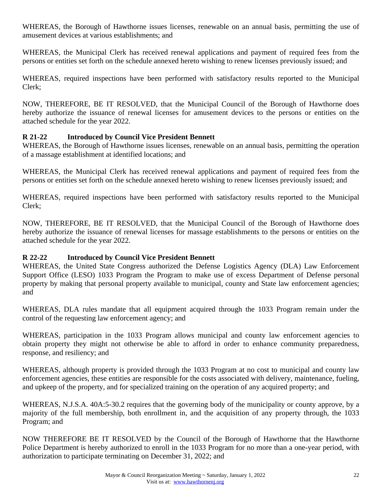WHEREAS, the Borough of Hawthorne issues licenses, renewable on an annual basis, permitting the use of amusement devices at various establishments; and

WHEREAS, the Municipal Clerk has received renewal applications and payment of required fees from the persons or entities set forth on the schedule annexed hereto wishing to renew licenses previously issued; and

WHEREAS, required inspections have been performed with satisfactory results reported to the Municipal Clerk;

NOW, THEREFORE, BE IT RESOLVED, that the Municipal Council of the Borough of Hawthorne does hereby authorize the issuance of renewal licenses for amusement devices to the persons or entities on the attached schedule for the year 2022.

### **R 21-22 Introduced by Council Vice President Bennett**

WHEREAS, the Borough of Hawthorne issues licenses, renewable on an annual basis, permitting the operation of a massage establishment at identified locations; and

WHEREAS, the Municipal Clerk has received renewal applications and payment of required fees from the persons or entities set forth on the schedule annexed hereto wishing to renew licenses previously issued; and

WHEREAS, required inspections have been performed with satisfactory results reported to the Municipal Clerk;

NOW, THEREFORE, BE IT RESOLVED, that the Municipal Council of the Borough of Hawthorne does hereby authorize the issuance of renewal licenses for massage establishments to the persons or entities on the attached schedule for the year 2022.

## **R 22-22 Introduced by Council Vice President Bennett**

WHEREAS, the United State Congress authorized the Defense Logistics Agency (DLA) Law Enforcement Support Office (LESO) 1033 Program the Program to make use of excess Department of Defense personal property by making that personal property available to municipal, county and State law enforcement agencies; and

WHEREAS, DLA rules mandate that all equipment acquired through the 1033 Program remain under the control of the requesting law enforcement agency; and

WHEREAS, participation in the 1033 Program allows municipal and county law enforcement agencies to obtain property they might not otherwise be able to afford in order to enhance community preparedness, response, and resiliency; and

WHEREAS, although property is provided through the 1033 Program at no cost to municipal and county law enforcement agencies, these entities are responsible for the costs associated with delivery, maintenance, fueling, and upkeep of the property, and for specialized training on the operation of any acquired property; and

WHEREAS, N.J.S.A. 40A:5-30.2 requires that the governing body of the municipality or county approve, by a majority of the full membership, both enrollment in, and the acquisition of any property through, the 1033 Program; and

NOW THEREFORE BE IT RESOLVED by the Council of the Borough of Hawthorne that the Hawthorne Police Department is hereby authorized to enroll in the 1033 Program for no more than a one-year period, with authorization to participate terminating on December 31, 2022; and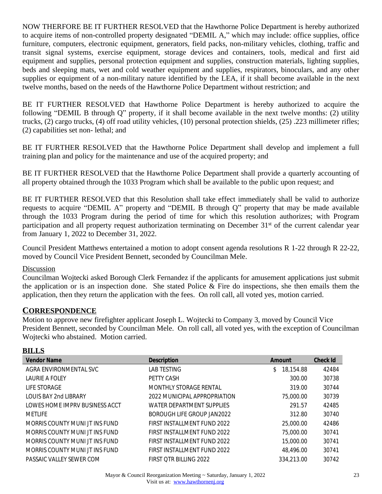NOW THERFORE BE IT FURTHER RESOLVED that the Hawthorne Police Department is hereby authorized to acquire items of non-controlled property designated "DEMIL A," which may include: office supplies, office furniture, computers, electronic equipment, generators, field packs, non-military vehicles, clothing, traffic and transit signal systems, exercise equipment, storage devices and containers, tools, medical and first aid equipment and supplies, personal protection equipment and supplies, construction materials, lighting supplies, beds and sleeping mats, wet and cold weather equipment and supplies, respirators, binoculars, and any other supplies or equipment of a non-military nature identified by the LEA, if it shall become available in the next twelve months, based on the needs of the Hawthorne Police Department without restriction; and

BE IT FURTHER RESOLVED that Hawthorne Police Department is hereby authorized to acquire the following "DEMIL B through Q" property, if it shall become available in the next twelve months: (2) utility trucks, (2) cargo trucks, (4) off road utility vehicles, (10) personal protection shields, (25) .223 millimeter rifles; (2) capabilities set non- lethal; and

BE IT FURTHER RESOLVED that the Hawthorne Police Department shall develop and implement a full training plan and policy for the maintenance and use of the acquired property; and

BE IT FURTHER RESOLVED that the Hawthorne Police Department shall provide a quarterly accounting of all property obtained through the 1033 Program which shall be available to the public upon request; and

BE IT FURTHER RESOLVED that this Resolution shall take effect immediately shall be valid to authorize requests to acquire "DEMIL A" property and "DEMIL B through Q" property that may be made available through the 1033 Program during the period of time for which this resolution authorizes; with Program participation and all property request authorization terminating on December 31st of the current calendar year from January 1, 2022 to December 31, 2022.

Council President Matthews entertained a motion to adopt consent agenda resolutions R 1-22 through R 22-22, moved by Council Vice President Bennett, seconded by Councilman Mele.

#### Discussion

Councilman Wojtecki asked Borough Clerk Fernandez if the applicants for amusement applications just submit the application or is an inspection done. She stated Police & Fire do inspections, she then emails them the application, then they return the application with the fees. On roll call, all voted yes, motion carried.

## **CORRESPONDENCE**

Motion to approve new firefighter applicant Joseph L. Wojtecki to Company 3, moved by Council Vice President Bennett, seconded by Councilman Mele. On roll call, all voted yes, with the exception of Councilman Wojtecki who abstained. Motion carried.

## **BILLS**

| <b>Vendor Name</b>             | <b>Description</b>           | Amount          | <b>Check Id</b> |
|--------------------------------|------------------------------|-----------------|-----------------|
| AGRA ENVIRONMENTAL SVC         | LAB TESTING                  | 18,154.88<br>S. | 42484           |
| <b>LAURIE A FOLEY</b>          | PETTY CASH                   | 300.00          | 30738           |
| LIFE STORAGE                   | MONTHLY STORAGE RENTAL       | 319.00          | 30744           |
| <b>LOUIS BAY 2nd LIBRARY</b>   | 2022 MUNICIPAL APPROPRIATION | 75,000.00       | 30739           |
| LOWES HOME IMPRV BUSINESS ACCT | WATER DEPARTMENT SUPPLIES    | 291.57          | 42485           |
| MFTI IFF                       | BOROUGH LIFE GROUP JAN2022   | 312.80          | 30740           |
| MORRIS COUNTY MUNI JT INS FUND | FIRST INSTALLMENT FUND 2022  | 25,000.00       | 42486           |
| MORRIS COUNTY MUNI JT INS FUND | FIRST INSTALLMENT FUND 2022  | 75,000.00       | 30741           |
| MORRIS COUNTY MUNI JT INS FUND | FIRST INSTALLMENT FUND 2022  | 15,000.00       | 30741           |
| MORRIS COUNTY MUNI JT INS FUND | FIRST INSTALLMENT FUND 2022  | 48,496.00       | 30741           |
| PASSAIC VALLEY SEWER COM       | FIRST OTR BILLING 2022       | 334.213.00      | 30742           |